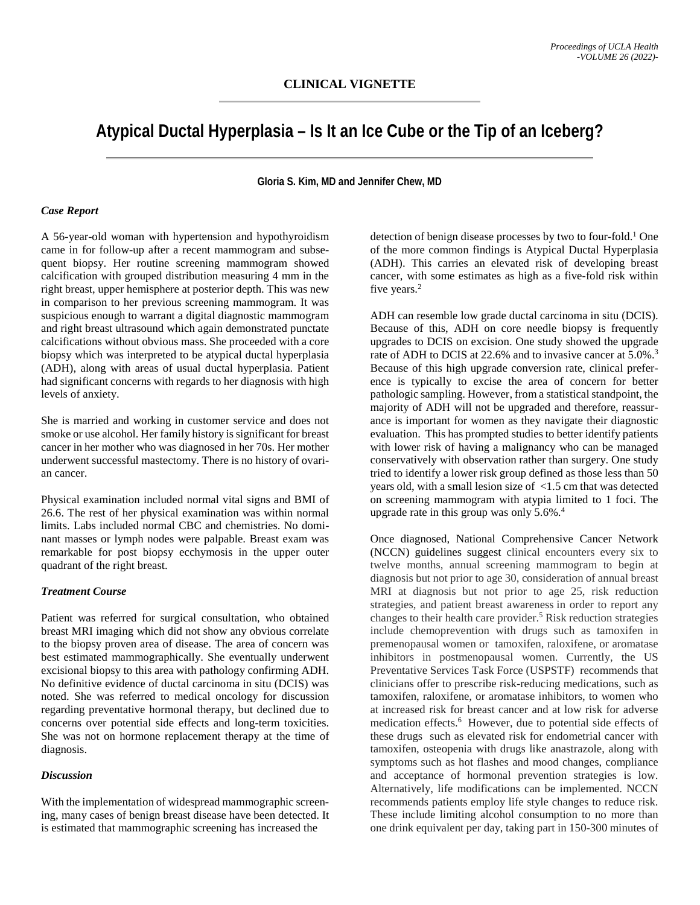# **Atypical Ductal Hyperplasia – Is It an Ice Cube or the Tip of an Iceberg?**

**Gloria S. Kim, MD and Jennifer Chew, MD**

#### *Case Report*

A 56-year-old woman with hypertension and hypothyroidism came in for follow-up after a recent mammogram and subsequent biopsy. Her routine screening mammogram showed calcification with grouped distribution measuring 4 mm in the right breast, upper hemisphere at posterior depth. This was new in comparison to her previous screening mammogram. It was suspicious enough to warrant a digital diagnostic mammogram and right breast ultrasound which again demonstrated punctate calcifications without obvious mass. She proceeded with a core biopsy which was interpreted to be atypical ductal hyperplasia (ADH), along with areas of usual ductal hyperplasia. Patient had significant concerns with regards to her diagnosis with high levels of anxiety.

She is married and working in customer service and does not smoke or use alcohol. Her family history is significant for breast cancer in her mother who was diagnosed in her 70s. Her mother underwent successful mastectomy. There is no history of ovarian cancer.

Physical examination included normal vital signs and BMI of 26.6. The rest of her physical examination was within normal limits. Labs included normal CBC and chemistries. No dominant masses or lymph nodes were palpable. Breast exam was remarkable for post biopsy ecchymosis in the upper outer quadrant of the right breast.

### *Treatment Course*

Patient was referred for surgical consultation, who obtained breast MRI imaging which did not show any obvious correlate to the biopsy proven area of disease. The area of concern was best estimated mammographically. She eventually underwent excisional biopsy to this area with pathology confirming ADH. No definitive evidence of ductal carcinoma in situ (DCIS) was noted. She was referred to medical oncology for discussion regarding preventative hormonal therapy, but declined due to concerns over potential side effects and long-term toxicities. She was not on hormone replacement therapy at the time of diagnosis.

#### *Discussion*

With the implementation of widespread mammographic screening, many cases of benign breast disease have been detected. It is estimated that mammographic screening has increased the

detection of benign disease processes by two to four-fold. <sup>1</sup> One of the more common findings is Atypical Ductal Hyperplasia (ADH). This carries an elevated risk of developing breast cancer, with some estimates as high as a five-fold risk within five years.<sup>2</sup>

ADH can resemble low grade ductal carcinoma in situ (DCIS). Because of this, ADH on core needle biopsy is frequently upgrades to DCIS on excision. One study showed the upgrade rate of ADH to DCIS at 22.6% and to invasive cancer at 5.0%.<sup>3</sup> Because of this high upgrade conversion rate, clinical preference is typically to excise the area of concern for better pathologic sampling. However, from a statistical standpoint, the majority of ADH will not be upgraded and therefore, reassurance is important for women as they navigate their diagnostic evaluation. This has prompted studies to better identify patients with lower risk of having a malignancy who can be managed conservatively with observation rather than surgery. One study tried to identify a lower risk group defined as those less than 50 years old, with a small lesion size of <1.5 cm that was detected on screening mammogram with atypia limited to 1 foci. The upgrade rate in this group was only 5.6%.<sup>4</sup>

Once diagnosed, National Comprehensive Cancer Network (NCCN) guidelines suggest clinical encounters every six to twelve months, annual screening mammogram to begin at diagnosis but not prior to age 30, consideration of annual breast MRI at diagnosis but not prior to age 25, risk reduction strategies, and patient breast awareness in order to report any changes to their health care provider. <sup>5</sup> Risk reduction strategies include chemoprevention with drugs such as tamoxifen in premenopausal women or tamoxifen, raloxifene, or aromatase inhibitors in postmenopausal women. Currently, the US Preventative Services Task Force (USPSTF) recommends that clinicians offer to prescribe risk-reducing medications, such as tamoxifen, raloxifene, or aromatase inhibitors, to women who at increased risk for breast cancer and at low risk for adverse medication effects.<sup>6</sup> However, due to potential side effects of these drugs such as elevated risk for endometrial cancer with tamoxifen, osteopenia with drugs like anastrazole, along with symptoms such as hot flashes and mood changes, compliance and acceptance of hormonal prevention strategies is low. Alternatively, life modifications can be implemented. NCCN recommends patients employ life style changes to reduce risk. These include limiting alcohol consumption to no more than one drink equivalent per day, taking part in 150-300 minutes of